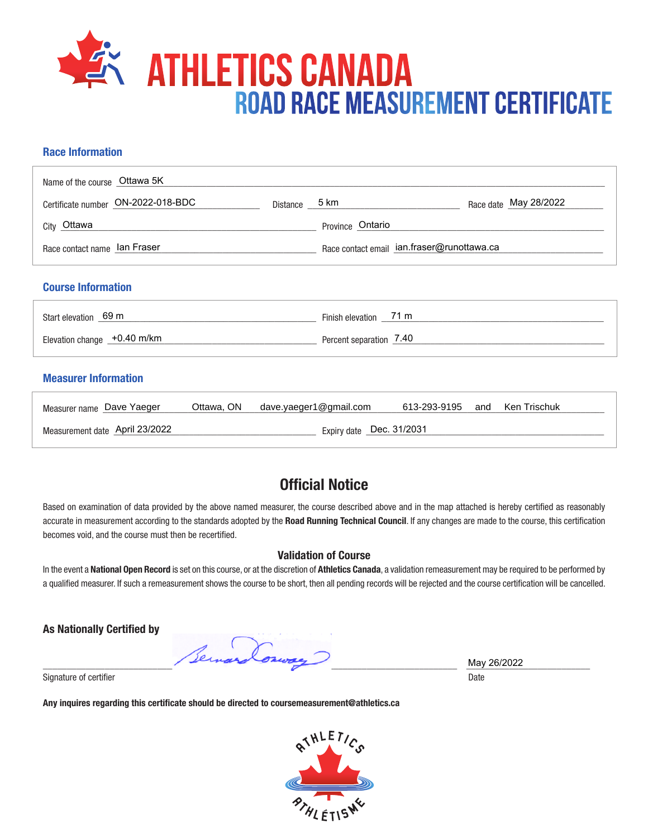

#### **Race Information**

| Name of the course Ottawa 5K            |                          |                                            |                       |
|-----------------------------------------|--------------------------|--------------------------------------------|-----------------------|
| Certificate number ON-2022-018-BDC      |                          | Distance 5 km                              | Race date May 28/2022 |
| City Ottawa                             |                          | Province Ontario                           |                       |
| Race contact name lan Fraser            |                          | Race contact email ian.fraser@runottawa.ca |                       |
| <b>Course Information</b>               |                          |                                            |                       |
| Start elevation 69 m                    |                          | Finish elevation __71 m                    |                       |
| Elevation change +0.40 m/km             | Percent separation 7.40  |                                            |                       |
| <b>Measurer Information</b>             |                          |                                            |                       |
| Ottawa, ON<br>Measurer name Dave Yaeger |                          | dave.yaeger1@gmail.com<br>613-293-9195     | Ken Trischuk<br>and   |
| Measurement date April 23/2022          | Expiry date Dec. 31/2031 |                                            |                       |

### **Official Notice**

Based on examination of data provided by the above named measurer, the course described above and in the map attached is hereby certified as reasonably accurate in measurement according to the standards adopted by the **Road Running Technical Council**. If any changes are made to the course, this certification becomes void, and the course must then be recertified.

#### **Validation of Course**

In the event a **National Open Record** is set on this course, or at the discretion of **Athletics Canada**, a validation remeasurement may be required to be performed by a qualified measurer. If such a remeasurement shows the course to be short, then all pending records will be rejected and the course certification will be cancelled.

**As Nationally Certified by**

\_\_\_\_\_\_\_\_\_\_\_\_\_\_\_\_\_\_\_\_\_\_\_\_\_\_\_\_\_\_\_\_\_\_\_\_\_\_\_\_\_\_\_\_\_\_\_\_\_\_\_\_\_\_\_\_\_\_\_\_\_\_\_\_\_\_\_\_\_\_\_\_\_\_\_\_\_\_\_\_\_\_\_\_\_\_\_ \_\_\_\_\_\_\_\_\_\_\_\_\_\_\_\_\_\_\_\_\_\_\_\_\_\_

Signature of certifier Date Date of Certifier and Contract of Certifier and Date Date of Certifier and Date Date of Certifier and Date of Certifier and Date of Certifier and Date of Certifier and Date of Certifier and Date

**Any inquires regarding this certificate should be directed to coursemeasurement@athletics.ca**



May 26/2022